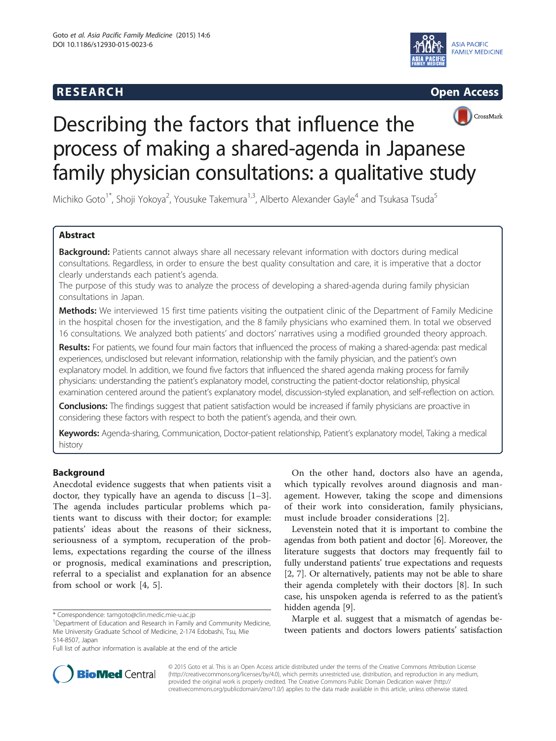





# Describing the factors that influence the process of making a shared-agenda in Japanese family physician consultations: a qualitative study

Michiko Goto<sup>1\*</sup>, Shoji Yokoya<sup>2</sup>, Yousuke Takemura<sup>1,3</sup>, Alberto Alexander Gayle<sup>4</sup> and Tsukasa Tsuda<sup>5</sup>

# Abstract

Background: Patients cannot always share all necessary relevant information with doctors during medical consultations. Regardless, in order to ensure the best quality consultation and care, it is imperative that a doctor clearly understands each patient's agenda.

The purpose of this study was to analyze the process of developing a shared-agenda during family physician consultations in Japan.

Methods: We interviewed 15 first time patients visiting the outpatient clinic of the Department of Family Medicine in the hospital chosen for the investigation, and the 8 family physicians who examined them. In total we observed 16 consultations. We analyzed both patients' and doctors' narratives using a modified grounded theory approach.

Results: For patients, we found four main factors that influenced the process of making a shared-agenda: past medical experiences, undisclosed but relevant information, relationship with the family physician, and the patient's own explanatory model. In addition, we found five factors that influenced the shared agenda making process for family physicians: understanding the patient's explanatory model, constructing the patient-doctor relationship, physical examination centered around the patient's explanatory model, discussion-styled explanation, and self-reflection on action.

Conclusions: The findings suggest that patient satisfaction would be increased if family physicians are proactive in considering these factors with respect to both the patient's agenda, and their own.

Keywords: Agenda-sharing, Communication, Doctor-patient relationship, Patient's explanatory model, Taking a medical history

# Background

Anecdotal evidence suggests that when patients visit a doctor, they typically have an agenda to discuss [\[1](#page-7-0)–[3](#page-7-0)]. The agenda includes particular problems which patients want to discuss with their doctor; for example: patients' ideas about the reasons of their sickness, seriousness of a symptom, recuperation of the problems, expectations regarding the course of the illness or prognosis, medical examinations and prescription, referral to a specialist and explanation for an absence from school or work [[4, 5\]](#page-7-0).



Levenstein noted that it is important to combine the agendas from both patient and doctor [[6\]](#page-7-0). Moreover, the literature suggests that doctors may frequently fail to fully understand patients' true expectations and requests [[2, 7\]](#page-7-0). Or alternatively, patients may not be able to share their agenda completely with their doctors [\[8](#page-7-0)]. In such case, his unspoken agenda is referred to as the patient's hidden agenda [\[9](#page-7-0)].

Marple et al. suggest that a mismatch of agendas between patients and doctors lowers patients' satisfaction



© 2015 Goto et al. This is an Open Access article distributed under the terms of the Creative Commons Attribution License [\(http://creativecommons.org/licenses/by/4.0\)](http://creativecommons.org/licenses/by/4.0), which permits unrestricted use, distribution, and reproduction in any medium, provided the original work is properly credited. The Creative Commons Public Domain Dedication waiver [\(http://](http://creativecommons.org/publicdomain/zero/1.0/) [creativecommons.org/publicdomain/zero/1.0/\)](http://creativecommons.org/publicdomain/zero/1.0/) applies to the data made available in this article, unless otherwise stated.

<sup>\*</sup> Correspondence: [tamgoto@clin.medic.mie-u.ac.jp](mailto:tamgoto@clin.medic.mie-u.ac.jp) <sup>1</sup>

<sup>&</sup>lt;sup>1</sup>Department of Education and Research in Family and Community Medicine, Mie University Graduate School of Medicine, 2-174 Edobashi, Tsu, Mie 514-8507, Japan

Full list of author information is available at the end of the article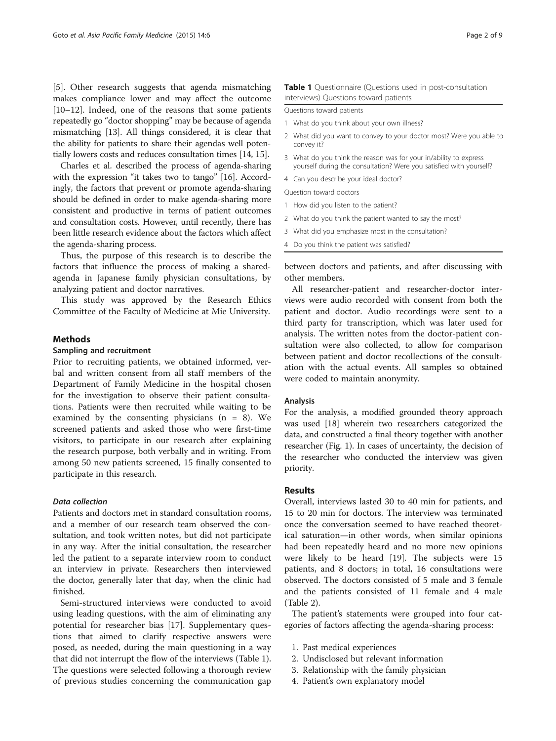[[5\]](#page-7-0). Other research suggests that agenda mismatching makes compliance lower and may affect the outcome [[10](#page-7-0)–[12](#page-7-0)]. Indeed, one of the reasons that some patients repeatedly go "doctor shopping" may be because of agenda mismatching [\[13\]](#page-7-0). All things considered, it is clear that the ability for patients to share their agendas well potentially lowers costs and reduces consultation times [\[14](#page-8-0), [15](#page-8-0)].

Charles et al. described the process of agenda-sharing with the expression "it takes two to tango" [\[16](#page-8-0)]. Accordingly, the factors that prevent or promote agenda-sharing should be defined in order to make agenda-sharing more consistent and productive in terms of patient outcomes and consultation costs. However, until recently, there has been little research evidence about the factors which affect the agenda-sharing process.

Thus, the purpose of this research is to describe the factors that influence the process of making a sharedagenda in Japanese family physician consultations, by analyzing patient and doctor narratives.

This study was approved by the Research Ethics Committee of the Faculty of Medicine at Mie University.

#### **Methods**

#### Sampling and recruitment

Prior to recruiting patients, we obtained informed, verbal and written consent from all staff members of the Department of Family Medicine in the hospital chosen for the investigation to observe their patient consultations. Patients were then recruited while waiting to be examined by the consenting physicians  $(n = 8)$ . We screened patients and asked those who were first-time visitors, to participate in our research after explaining the research purpose, both verbally and in writing. From among 50 new patients screened, 15 finally consented to participate in this research.

#### Data collection

Patients and doctors met in standard consultation rooms, and a member of our research team observed the consultation, and took written notes, but did not participate in any way. After the initial consultation, the researcher led the patient to a separate interview room to conduct an interview in private. Researchers then interviewed the doctor, generally later that day, when the clinic had finished.

Semi-structured interviews were conducted to avoid using leading questions, with the aim of eliminating any potential for researcher bias [[17\]](#page-8-0). Supplementary questions that aimed to clarify respective answers were posed, as needed, during the main questioning in a way that did not interrupt the flow of the interviews (Table 1). The questions were selected following a thorough review of previous studies concerning the communication gap

#### Table 1 Questionnaire (Questions used in post-consultation interviews) Questions toward patients

Questions toward patients

- 1 What do you think about your own illness?
- 2 What did you want to convey to your doctor most? Were you able to convey it?
- 3 What do you think the reason was for your in/ability to express yourself during the consultation? Were you satisfied with yourself?
- 4 Can you describe your ideal doctor?

Question toward doctors

- 1 How did you listen to the patient?
- 2 What do you think the patient wanted to say the most?
- 3 What did you emphasize most in the consultation?
- 4 Do you think the patient was satisfied?

between doctors and patients, and after discussing with other members.

All researcher-patient and researcher-doctor interviews were audio recorded with consent from both the patient and doctor. Audio recordings were sent to a third party for transcription, which was later used for analysis. The written notes from the doctor-patient consultation were also collected, to allow for comparison between patient and doctor recollections of the consultation with the actual events. All samples so obtained were coded to maintain anonymity.

#### Analysis

For the analysis, a modified grounded theory approach was used [\[18\]](#page-8-0) wherein two researchers categorized the data, and constructed a final theory together with another researcher (Fig. [1](#page-2-0)). In cases of uncertainty, the decision of the researcher who conducted the interview was given priority.

#### Results

Overall, interviews lasted 30 to 40 min for patients, and 15 to 20 min for doctors. The interview was terminated once the conversation seemed to have reached theoretical saturation—in other words, when similar opinions had been repeatedly heard and no more new opinions were likely to be heard [[19](#page-8-0)]. The subjects were 15 patients, and 8 doctors; in total, 16 consultations were observed. The doctors consisted of 5 male and 3 female and the patients consisted of 11 female and 4 male (Table [2\)](#page-2-0).

The patient's statements were grouped into four categories of factors affecting the agenda-sharing process:

- 1. Past medical experiences
- 2. Undisclosed but relevant information
- 3. Relationship with the family physician
- 4. Patient's own explanatory model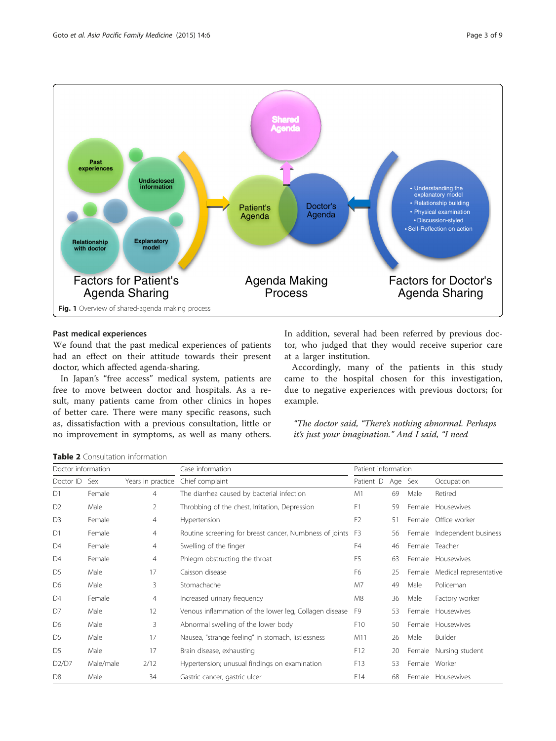<span id="page-2-0"></span>

#### Past medical experiences

We found that the past medical experiences of patients had an effect on their attitude towards their present doctor, which affected agenda-sharing.

In Japan's "free access" medical system, patients are free to move between doctor and hospitals. As a result, many patients came from other clinics in hopes of better care. There were many specific reasons, such as, dissatisfaction with a previous consultation, little or no improvement in symptoms, as well as many others.

In addition, several had been referred by previous doctor, who judged that they would receive superior care at a larger institution.

Accordingly, many of the patients in this study came to the hospital chosen for this investigation, due to negative experiences with previous doctors; for example.

"The doctor said, "There's nothing abnormal. Perhaps it's just your imagination." And I said, "I need

Table 2 Consultation information

| Doctor information |           |                   | Case information                                        | Patient information |     |        |                               |
|--------------------|-----------|-------------------|---------------------------------------------------------|---------------------|-----|--------|-------------------------------|
| Doctor ID          | Sex       | Years in practice | Chief complaint                                         | Patient ID          | Age | Sex    | Occupation                    |
| D1                 | Female    | 4                 | The diarrhea caused by bacterial infection              | M1                  | 69  | Male   | Retired                       |
| D <sub>2</sub>     | Male      | 2                 | Throbbing of the chest, Irritation, Depression          | F1                  | 59  | Female | Housewives                    |
| D <sub>3</sub>     | Female    | 4                 | Hypertension                                            | F <sub>2</sub>      | 51  | Female | Office worker                 |
| D1                 | Female    | 4                 | Routine screening for breast cancer, Numbness of joints | F <sub>3</sub>      | 56  |        | Female Independent business   |
| D <sub>4</sub>     | Female    | $\overline{4}$    | Swelling of the finger                                  | F <sub>4</sub>      | 46  |        | Female Teacher                |
| D <sub>4</sub>     | Female    | $\overline{4}$    | Phlegm obstructing the throat                           | F <sub>5</sub>      | 63  |        | Female Housewives             |
| D <sub>5</sub>     | Male      | 17                | Caisson disease                                         | F <sub>6</sub>      | 25  |        | Female Medical representative |
| D <sub>6</sub>     | Male      | 3                 | Stomachache                                             | M7                  | 49  | Male   | Policeman                     |
| D4                 | Female    | $\overline{4}$    | Increased urinary frequency                             | M8                  | 36  | Male   | Factory worker                |
| D7                 | Male      | 12                | Venous inflammation of the lower leg, Collagen disease  | F <sub>9</sub>      | 53  | Female | Housewives                    |
| D <sub>6</sub>     | Male      | 3                 | Abnormal swelling of the lower body                     | F <sub>10</sub>     | 50  | Female | Housewives                    |
| D <sub>5</sub>     | Male      | 17                | Nausea, "strange feeling" in stomach, listlessness      | M11                 | 26  | Male   | Builder                       |
| D <sub>5</sub>     | Male      | 17                | Brain disease, exhausting                               | F12                 | 20  |        | Female Nursing student        |
| D2/D7              | Male/male | 2/12              | Hypertension; unusual findings on examination           | F13                 | 53  |        | Female Worker                 |
| D <sub>8</sub>     | Male      | 34                | Gastric cancer, gastric ulcer                           | F14                 | 68  |        | Female Housewives             |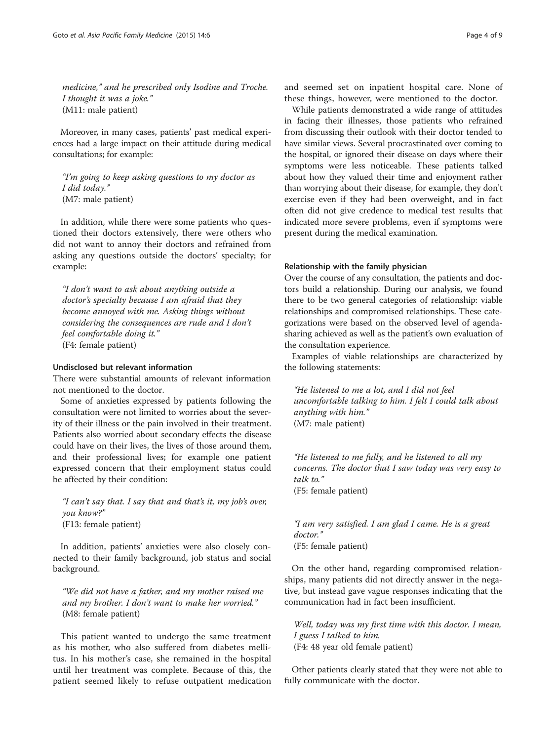medicine," and he prescribed only Isodine and Troche. I thought it was a joke." (M11: male patient)

Moreover, in many cases, patients' past medical experiences had a large impact on their attitude during medical consultations; for example:

"I'm going to keep asking questions to my doctor as I did today." (M7: male patient)

In addition, while there were some patients who questioned their doctors extensively, there were others who did not want to annoy their doctors and refrained from asking any questions outside the doctors' specialty; for example:

"I don't want to ask about anything outside a doctor's specialty because I am afraid that they become annoyed with me. Asking things without considering the consequences are rude and I don't feel comfortable doing it." (F4: female patient)

#### Undisclosed but relevant information

There were substantial amounts of relevant information not mentioned to the doctor.

Some of anxieties expressed by patients following the consultation were not limited to worries about the severity of their illness or the pain involved in their treatment. Patients also worried about secondary effects the disease could have on their lives, the lives of those around them, and their professional lives; for example one patient expressed concern that their employment status could be affected by their condition:

"I can't say that. I say that and that's it, my job's over, you know?" (F13: female patient)

In addition, patients' anxieties were also closely connected to their family background, job status and social background.

"We did not have a father, and my mother raised me and my brother. I don't want to make her worried." (M8: female patient)

This patient wanted to undergo the same treatment as his mother, who also suffered from diabetes mellitus. In his mother's case, she remained in the hospital until her treatment was complete. Because of this, the patient seemed likely to refuse outpatient medication and seemed set on inpatient hospital care. None of these things, however, were mentioned to the doctor.

While patients demonstrated a wide range of attitudes in facing their illnesses, those patients who refrained from discussing their outlook with their doctor tended to have similar views. Several procrastinated over coming to the hospital, or ignored their disease on days where their symptoms were less noticeable. These patients talked about how they valued their time and enjoyment rather than worrying about their disease, for example, they don't exercise even if they had been overweight, and in fact often did not give credence to medical test results that indicated more severe problems, even if symptoms were present during the medical examination.

#### Relationship with the family physician

Over the course of any consultation, the patients and doctors build a relationship. During our analysis, we found there to be two general categories of relationship: viable relationships and compromised relationships. These categorizations were based on the observed level of agendasharing achieved as well as the patient's own evaluation of the consultation experience.

Examples of viable relationships are characterized by the following statements:

"He listened to me a lot, and I did not feel uncomfortable talking to him. I felt I could talk about anything with him." (M7: male patient)

"He listened to me fully, and he listened to all my concerns. The doctor that I saw today was very easy to talk to." (F5: female patient)

"I am very satisfied. I am glad I came. He is a great doctor." (F5: female patient)

On the other hand, regarding compromised relationships, many patients did not directly answer in the negative, but instead gave vague responses indicating that the communication had in fact been insufficient.

Well, today was my first time with this doctor. I mean, I guess I talked to him. (F4: 48 year old female patient)

Other patients clearly stated that they were not able to fully communicate with the doctor.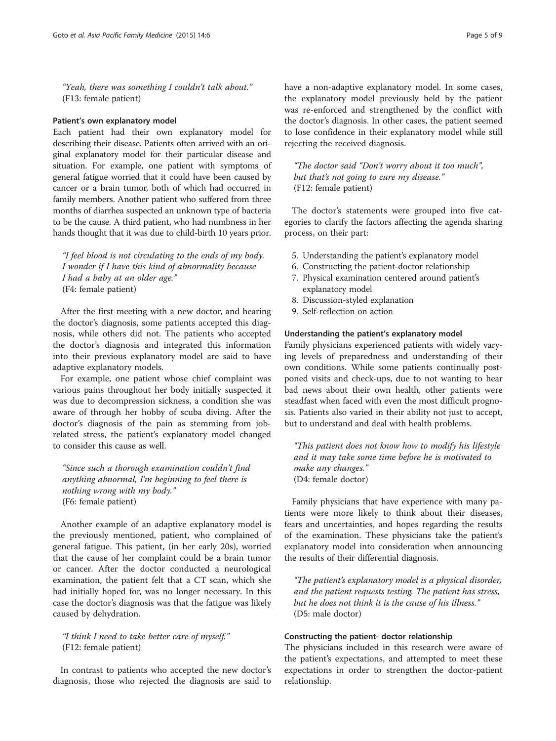"Yeah, there was something I couldn't talk about." (F13: female patient)

#### Patient's own explanatory model

Each patient had their own explanatory model for describing their disease. Patients often arrived with an original explanatory model for their particular disease and situation. For example, one patient with symptoms of general fatigue worried that it could have been caused by cancer or a brain tumor, both of which had occurred in family members. Another patient who suffered from three months of diarrhea suspected an unknown type of bacteria to be the cause. A third patient, who had numbness in her hands thought that it was due to child-birth 10 years prior.

"I feel blood is not circulating to the ends of my body. I wonder if I have this kind of abnormality because I had a baby at an older age." (F4: female patient)

After the first meeting with a new doctor, and hearing the doctor's diagnosis, some patients accepted this diagnosis, while others did not. The patients who accepted the doctor's diagnosis and integrated this information into their previous explanatory model are said to have adaptive explanatory models.

For example, one patient whose chief complaint was various pains throughout her body initially suspected it was due to decompression sickness, a condition she was aware of through her hobby of scuba diving. After the doctor's diagnosis of the pain as stemming from jobrelated stress, the patient's explanatory model changed to consider this cause as well.

"Since such a thorough examination couldn't find anything abnormal, I'm beginning to feel there is nothing wrong with my body." (F6: female patient)

Another example of an adaptive explanatory model is the previously mentioned, patient, who complained of general fatigue. This patient, (in her early 20s), worried that the cause of her complaint could be a brain tumor or cancer. After the doctor conducted a neurological examination, the patient felt that a CT scan, which she had initially hoped for, was no longer necessary. In this case the doctor's diagnosis was that the fatigue was likely caused by dehydration.

"I think I need to take better care of myself." (F12: female patient)

In contrast to patients who accepted the new doctor's diagnosis, those who rejected the diagnosis are said to have a non-adaptive explanatory model. In some cases, the explanatory model previously held by the patient was re-enforced and strengthened by the conflict with the doctor's diagnosis. In other cases, the patient seemed to lose confidence in their explanatory model while still rejecting the received diagnosis.

"The doctor said "Don't worry about it too much", but that's not going to cure my disease." (F12: female patient)

The doctor's statements were grouped into five categories to clarify the factors affecting the agenda sharing process, on their part:

- 5. Understanding the patient's explanatory model
- 6. Constructing the patient-doctor relationship
- 7. Physical examination centered around patient's explanatory model
- 8. Discussion-styled explanation
- 9. Self-reflection on action

#### Understanding the patient's explanatory model

Family physicians experienced patients with widely varying levels of preparedness and understanding of their own conditions. While some patients continually postponed visits and check-ups, due to not wanting to hear bad news about their own health, other patients were steadfast when faced with even the most difficult prognosis. Patients also varied in their ability not just to accept, but to understand and deal with health problems.

"This patient does not know how to modify his lifestyle and it may take some time before he is motivated to make any changes." (D4: female doctor)

Family physicians that have experience with many patients were more likely to think about their diseases, fears and uncertainties, and hopes regarding the results of the examination. These physicians take the patient's explanatory model into consideration when announcing the results of their differential diagnosis.

"The patient's explanatory model is a physical disorder, and the patient requests testing. The patient has stress, but he does not think it is the cause of his illness." (D5: male doctor)

#### Constructing the patient- doctor relationship

The physicians included in this research were aware of the patient's expectations, and attempted to meet these expectations in order to strengthen the doctor-patient relationship.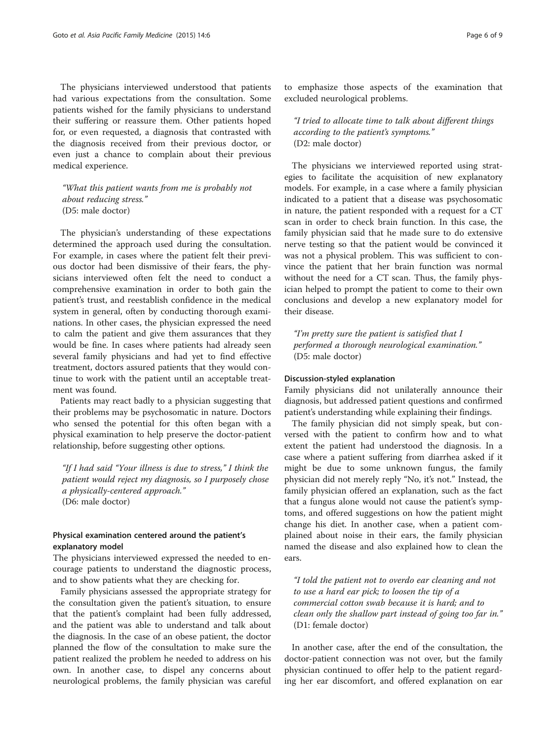The physicians interviewed understood that patients had various expectations from the consultation. Some patients wished for the family physicians to understand their suffering or reassure them. Other patients hoped for, or even requested, a diagnosis that contrasted with the diagnosis received from their previous doctor, or even just a chance to complain about their previous medical experience.

"What this patient wants from me is probably not about reducing stress." (D5: male doctor)

The physician's understanding of these expectations determined the approach used during the consultation. For example, in cases where the patient felt their previous doctor had been dismissive of their fears, the physicians interviewed often felt the need to conduct a comprehensive examination in order to both gain the patient's trust, and reestablish confidence in the medical system in general, often by conducting thorough examinations. In other cases, the physician expressed the need to calm the patient and give them assurances that they would be fine. In cases where patients had already seen several family physicians and had yet to find effective treatment, doctors assured patients that they would continue to work with the patient until an acceptable treatment was found.

Patients may react badly to a physician suggesting that their problems may be psychosomatic in nature. Doctors who sensed the potential for this often began with a physical examination to help preserve the doctor-patient relationship, before suggesting other options.

"If I had said "Your illness is due to stress," I think the patient would reject my diagnosis, so I purposely chose a physically-centered approach." (D6: male doctor)

## Physical examination centered around the patient's explanatory model

The physicians interviewed expressed the needed to encourage patients to understand the diagnostic process, and to show patients what they are checking for.

Family physicians assessed the appropriate strategy for the consultation given the patient's situation, to ensure that the patient's complaint had been fully addressed, and the patient was able to understand and talk about the diagnosis. In the case of an obese patient, the doctor planned the flow of the consultation to make sure the patient realized the problem he needed to address on his own. In another case, to dispel any concerns about neurological problems, the family physician was careful to emphasize those aspects of the examination that excluded neurological problems.

"I tried to allocate time to talk about different things according to the patient's symptoms." (D2: male doctor)

The physicians we interviewed reported using strategies to facilitate the acquisition of new explanatory models. For example, in a case where a family physician indicated to a patient that a disease was psychosomatic in nature, the patient responded with a request for a CT scan in order to check brain function. In this case, the family physician said that he made sure to do extensive nerve testing so that the patient would be convinced it was not a physical problem. This was sufficient to convince the patient that her brain function was normal without the need for a CT scan. Thus, the family physician helped to prompt the patient to come to their own conclusions and develop a new explanatory model for their disease.

"I'm pretty sure the patient is satisfied that I performed a thorough neurological examination." (D5: male doctor)

#### Discussion-styled explanation

Family physicians did not unilaterally announce their diagnosis, but addressed patient questions and confirmed patient's understanding while explaining their findings.

The family physician did not simply speak, but conversed with the patient to confirm how and to what extent the patient had understood the diagnosis. In a case where a patient suffering from diarrhea asked if it might be due to some unknown fungus, the family physician did not merely reply "No, it's not." Instead, the family physician offered an explanation, such as the fact that a fungus alone would not cause the patient's symptoms, and offered suggestions on how the patient might change his diet. In another case, when a patient complained about noise in their ears, the family physician named the disease and also explained how to clean the ears.

"I told the patient not to overdo ear cleaning and not to use a hard ear pick; to loosen the tip of a commercial cotton swab because it is hard; and to clean only the shallow part instead of going too far in." (D1: female doctor)

In another case, after the end of the consultation, the doctor-patient connection was not over, but the family physician continued to offer help to the patient regarding her ear discomfort, and offered explanation on ear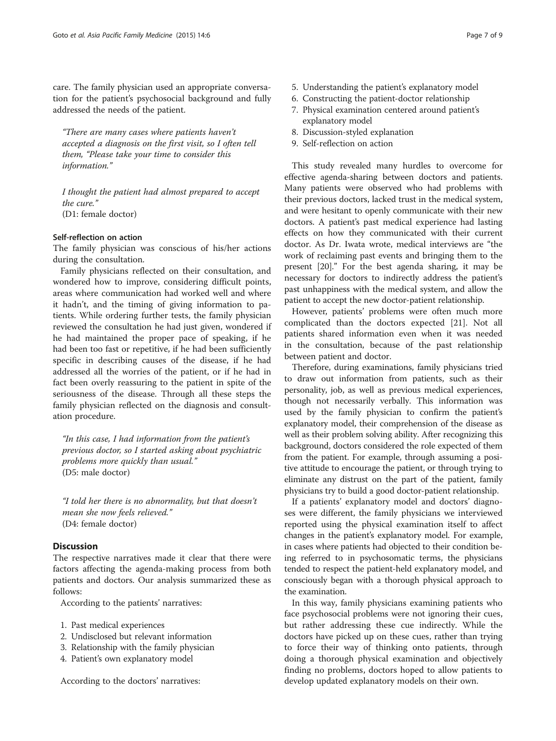care. The family physician used an appropriate conversation for the patient's psychosocial background and fully addressed the needs of the patient.

"There are many cases where patients haven't accepted a diagnosis on the first visit, so I often tell them, "Please take your time to consider this information."

I thought the patient had almost prepared to accept the cure." (D1: female doctor)

#### Self-reflection on action

The family physician was conscious of his/her actions during the consultation.

Family physicians reflected on their consultation, and wondered how to improve, considering difficult points, areas where communication had worked well and where it hadn't, and the timing of giving information to patients. While ordering further tests, the family physician reviewed the consultation he had just given, wondered if he had maintained the proper pace of speaking, if he had been too fast or repetitive, if he had been sufficiently specific in describing causes of the disease, if he had addressed all the worries of the patient, or if he had in fact been overly reassuring to the patient in spite of the seriousness of the disease. Through all these steps the family physician reflected on the diagnosis and consultation procedure.

"In this case, I had information from the patient's previous doctor, so I started asking about psychiatric problems more quickly than usual." (D5: male doctor)

"I told her there is no abnormality, but that doesn't mean she now feels relieved." (D4: female doctor)

# **Discussion**

The respective narratives made it clear that there were factors affecting the agenda-making process from both patients and doctors. Our analysis summarized these as follows:

According to the patients' narratives:

- 1. Past medical experiences
- 2. Undisclosed but relevant information
- 3. Relationship with the family physician
- 4. Patient's own explanatory model

According to the doctors' narratives:

- 5. Understanding the patient's explanatory model
- 6. Constructing the patient-doctor relationship
- 7. Physical examination centered around patient's explanatory model
- 8. Discussion-styled explanation
- 9. Self-reflection on action

This study revealed many hurdles to overcome for effective agenda-sharing between doctors and patients. Many patients were observed who had problems with their previous doctors, lacked trust in the medical system, and were hesitant to openly communicate with their new doctors. A patient's past medical experience had lasting effects on how they communicated with their current doctor. As Dr. Iwata wrote, medical interviews are "the work of reclaiming past events and bringing them to the present [[20\]](#page-8-0)." For the best agenda sharing, it may be necessary for doctors to indirectly address the patient's past unhappiness with the medical system, and allow the patient to accept the new doctor-patient relationship.

However, patients' problems were often much more complicated than the doctors expected [[21\]](#page-8-0). Not all patients shared information even when it was needed in the consultation, because of the past relationship between patient and doctor.

Therefore, during examinations, family physicians tried to draw out information from patients, such as their personality, job, as well as previous medical experiences, though not necessarily verbally. This information was used by the family physician to confirm the patient's explanatory model, their comprehension of the disease as well as their problem solving ability. After recognizing this background, doctors considered the role expected of them from the patient. For example, through assuming a positive attitude to encourage the patient, or through trying to eliminate any distrust on the part of the patient, family physicians try to build a good doctor-patient relationship.

If a patients' explanatory model and doctors' diagnoses were different, the family physicians we interviewed reported using the physical examination itself to affect changes in the patient's explanatory model. For example, in cases where patients had objected to their condition being referred to in psychosomatic terms, the physicians tended to respect the patient-held explanatory model, and consciously began with a thorough physical approach to the examination.

In this way, family physicians examining patients who face psychosocial problems were not ignoring their cues, but rather addressing these cue indirectly. While the doctors have picked up on these cues, rather than trying to force their way of thinking onto patients, through doing a thorough physical examination and objectively finding no problems, doctors hoped to allow patients to develop updated explanatory models on their own.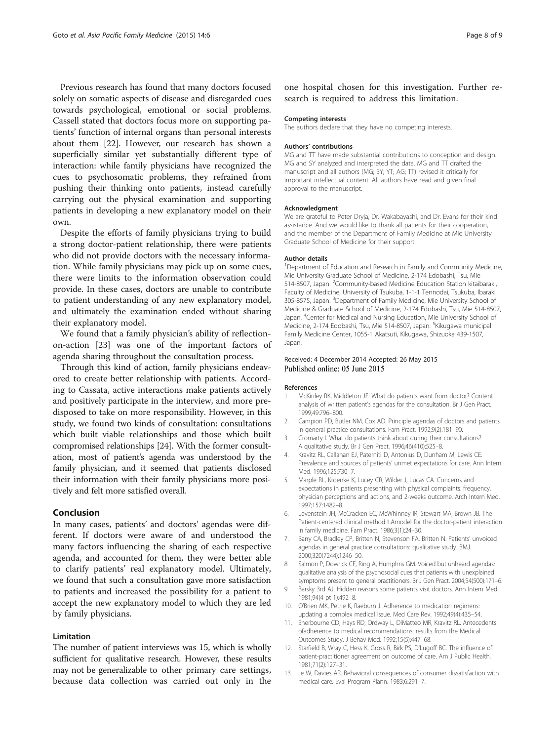<span id="page-7-0"></span>Previous research has found that many doctors focused solely on somatic aspects of disease and disregarded cues towards psychological, emotional or social problems. Cassell stated that doctors focus more on supporting patients' function of internal organs than personal interests about them [\[22](#page-8-0)]. However, our research has shown a superficially similar yet substantially different type of interaction: while family physicians have recognized the cues to psychosomatic problems, they refrained from pushing their thinking onto patients, instead carefully carrying out the physical examination and supporting patients in developing a new explanatory model on their own.

Despite the efforts of family physicians trying to build a strong doctor-patient relationship, there were patients who did not provide doctors with the necessary information. While family physicians may pick up on some cues, there were limits to the information observation could provide. In these cases, doctors are unable to contribute to patient understanding of any new explanatory model, and ultimately the examination ended without sharing their explanatory model.

We found that a family physician's ability of reflectionon-action [\[23](#page-8-0)] was one of the important factors of agenda sharing throughout the consultation process.

Through this kind of action, family physicians endeavored to create better relationship with patients. According to Cassata, active interactions make patients actively and positively participate in the interview, and more predisposed to take on more responsibility. However, in this study, we found two kinds of consultation: consultations which built viable relationships and those which built compromised relationships [\[24\]](#page-8-0). With the former consultation, most of patient's agenda was understood by the family physician, and it seemed that patients disclosed their information with their family physicians more positively and felt more satisfied overall.

#### Conclusion

In many cases, patients' and doctors' agendas were different. If doctors were aware of and understood the many factors influencing the sharing of each respective agenda, and accounted for them, they were better able to clarify patients' real explanatory model. Ultimately, we found that such a consultation gave more satisfaction to patients and increased the possibility for a patient to accept the new explanatory model to which they are led by family physicians.

#### Limitation

The number of patient interviews was 15, which is wholly sufficient for qualitative research. However, these results may not be generalizable to other primary care settings, because data collection was carried out only in the one hospital chosen for this investigation. Further research is required to address this limitation.

#### Competing interests

The authors declare that they have no competing interests.

#### Authors' contributions

MG and TT have made substantial contributions to conception and design. MG and SY analyzed and interpreted the data. MG and TT drafted the manuscript and all authors (MG; SY; YT; AG; TT) revised it critically for important intellectual content. All authors have read and given final approval to the manuscript.

#### Acknowledgment

We are grateful to Peter Dryja, Dr. Wakabayashi, and Dr. Evans for their kind assistance. And we would like to thank all patients for their cooperation, and the member of the Department of Family Medicine at Mie University Graduate School of Medicine for their support.

#### Author details

<sup>1</sup>Department of Education and Research in Family and Community Medicine, Mie University Graduate School of Medicine, 2-174 Edobashi, Tsu, Mie 514-8507, Japan. <sup>2</sup> Community-based Medicine Education Station kitaibaraki Faculty of Medicine, University of Tsukuba, 1-1-1 Tennodai, Tsukuba, Ibaraki 305-8575, Japan. <sup>3</sup>Department of Family Medicine, Mie University School of Medicine & Graduate School of Medicine, 2-174 Edobashi, Tsu, Mie 514-8507, Japan. <sup>4</sup>Center for Medical and Nursing Education, Mie University School of Medicine, 2-174 Edobashi, Tsu, Mie 514-8507, Japan. <sup>5</sup>Kikugawa municipal Family Medicine Center, 1055-1 Akatsuti, Kikugawa, Shizuoka 439-1507, Japan.

#### Received: 4 December 2014 Accepted: 26 May 2015 Published online: 05 June 2015

#### References

- 1. McKinley RK, Middleton JF. What do patients want from doctor? Content analysis of written patient's agendas for the consultation. Br J Gen Pract. 1999;49:796–800.
- 2. Campion PD, Butler NM, Cox AD. Principle agendas of doctors and patients in general practice consultations. Fam Pract. 1992;9(2):181–90.
- 3. Cromarty I. What do patients think about during their consultations? A qualitative study. Br J Gen Pract. 1996;46(410):525–8.
- 4. Kravitz RL, Callahan EJ, Paterniti D, Antonius D, Dunham M, Lewis CE. Prevalence and sources of patients' unmet expectations for care. Ann Intern Med. 1996;125:730–7.
- 5. Marple RL, Kroenke K, Lucey CR, Wilder J, Lucas CA. Concerns and expectations in patients presenting with physical complaints: frequency, physician perceptions and actions, and 2-weeks outcome. Arch Intern Med. 1997;157:1482–8.
- 6. Levenstein JH, McCracken EC, McWhinney IR, Stewart MA, Brown JB. The Patient-centered clinical method.1.Amodel for the doctor-patient interaction in family medicine. Fam Pract. 1986;3(1):24–30.
- 7. Barry CA, Bradley CP, Britten N, Stevenson FA, Britten N. Patients' unvoiced agendas in general practice consultations: qualitative study. BMJ. 2000;320(7244):1246–50.
- 8. Salmon P, Dowrick CF, Ring A, Humphris GM. Voiced but unheard agendas: qualitative analysis of the psychosocial cues that patients with unexplained symptoms present to general practitioners. Br J Gen Pract. 2004;54(500):171–6.
- 9. Barsky 3rd AJ. Hidden reasons some patients visit doctors. Ann Intern Med. 1981;94(4 pt 1):492–8.
- 10. O'Brien MK, Petrie K, Raeburn J. Adherence to medication regimens: updating a complex medical issue. Med Care Rev. 1992;49(4):435–54.
- 11. Sherbourne CD, Hays RD, Ordway L, DiMatteo MR, Kravitz RL. Antecedents ofadherence to medical recommendations: results from the Medical Outcomes Study. J Behav Med. 1992;15(5):447–68.
- 12. Starfield B, Wray C, Hess K, Gross R, Birk PS, D'Lugoff BC. The influence of patient-practitioner agreement on outcome of care. Am J Public Health. 1981;71(2):127–31.
- 13. Je W, Davies AR. Behavioral consequences of consumer dissatisfaction with medical care. Eval Program Plann. 1983;6:291–7.